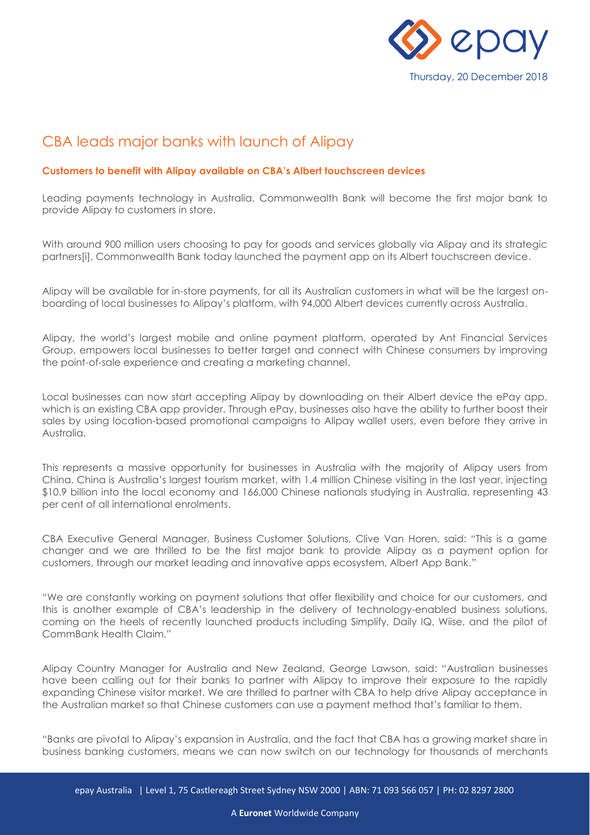

## CBA leads major banks with launch of Alipay

## **Customers to benefit with Alipay available on CBA's Albert touchscreen devices**

Leading payments technology in Australia, Commonwealth Bank will become the first major bank to provide Alipay to customers in store.

With around 900 million users choosing to pay for goods and services globally via Alipay and its strategic partners[i], Commonwealth Bank today launched the payment app on its Albert touchscreen device.

Alipay will be available for in-store payments, for all its Australian customers in what will be the largest onboarding of local businesses to Alipay's platform, with 94,000 Albert devices currently across Australia.

Alipay, the world's largest mobile and online payment platform, operated by Ant Financial Services Group, empowers local businesses to better target and connect with Chinese consumers by improving the point-of-sale experience and creating a marketing channel.

Local businesses can now start accepting Alipay by downloading on their Albert device the ePay app, which is an existing CBA app provider. Through ePay, businesses also have the ability to further boost their sales by using location-based promotional campaigns to Alipay wallet users, even before they arrive in Australia.

This represents a massive opportunity for businesses in Australia with the majority of Alipay users from China. China is Australia's largest tourism market, with 1.4 million Chinese visiting in the last year, injecting \$10.9 billion into the local economy and 166,000 Chinese nationals studying in Australia, representing 43 per cent of all international enrolments.

CBA Executive General Manager, Business Customer Solutions, Clive Van Horen, said: "This is a game changer and we are thrilled to be the first major bank to provide Alipay as a payment option for customers, through our market leading and innovative apps ecosystem, Albert App Bank."

"We are constantly working on payment solutions that offer flexibility and choice for our customers, and this is another example of CBA's leadership in the delivery of technology-enabled business solutions, coming on the heels of recently launched products including Simplify, Daily IQ, Wiise, and the pilot of CommBank Health Claim."

Alipay Country Manager for Australia and New Zealand, George Lawson, said: "Australian businesses have been calling out for their banks to partner with Alipay to improve their exposure to the rapidly expanding Chinese visitor market. We are thrilled to partner with CBA to help drive Alipay acceptance in the Australian market so that Chinese customers can use a payment method that's familiar to them.

"Banks are pivotal to Alipay's expansion in Australia, and the fact that CBA has a growing market share in business banking customers, means we can now switch on our technology for thousands of merchants